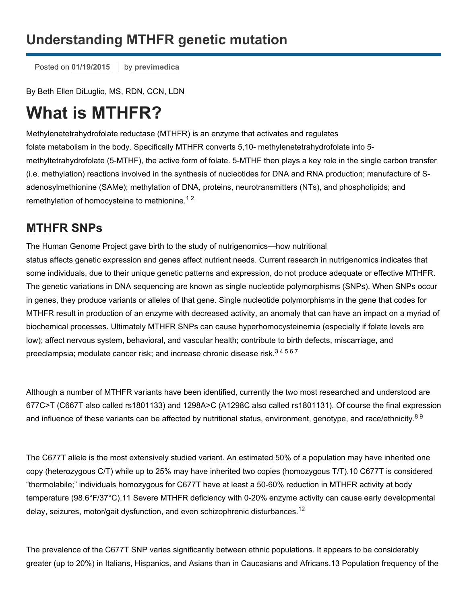## **Understanding MTHFR genetic mutation**

Posted on [01/19/2015](https://previmedica.com/understanding-mthfr-genetic-mutation/) by [previmedica](https://previmedica.com/author/previmedica/)

By Beth Ellen DiLuglio, MS, RDN, CCN, LDN

# **What is MTHFR?**

Methylenetetrahydrofolate reductase (MTHFR) is an enzyme that activates and regulates folate metabolism in the body. Specifically MTHFR converts 5,10- methylenetetrahydrofolate into 5methyltetrahydrofolate (5-MTHF), the active form of folate. 5-MTHF then plays a key role in the single carbon transfer (i.e. methylation) reactions involved in the synthesis of nucleotides for DNA and RNA production; manufacture of Sadenosylmethionine (SAMe); methylation of DNA, proteins, neurotransmitters (NTs), and phospholipids; and remethylation of homocysteine to methionine.<sup>12</sup>

#### **MTHFR SNPs**

The Human Genome Project gave birth to the study of nutrigenomics—how nutritional status affects genetic expression and genes affect nutrient needs. Current research in nutrigenomics indicates that some individuals, due to their unique genetic patterns and expression, do not produce adequate or effective MTHFR. The genetic variations in DNA sequencing are known as single nucleotide polymorphisms (SNPs). When SNPs occur in genes, they produce variants or alleles of that gene. Single nucleotide polymorphisms in the gene that codes for MTHFR result in production of an enzyme with decreased activity, an anomaly that can have an impact on a myriad of biochemical processes. Ultimately MTHFR SNPs can cause hyperhomocysteinemia (especially if folate levels are low); affect nervous system, behavioral, and vascular health; contribute to birth defects, miscarriage, and preeclampsia; modulate cancer risk; and increase chronic disease risk.<sup>34567</sup>

Although a number of MTHFR variants have been identified, currently the two most researched and understood are 677C>T (C667T also called rs1801133) and 1298A>C (A1298C also called rs1801131). Of course the final expression and influence of these variants can be affected by nutritional status, environment, genotype, and race/ethnicity.<sup>89</sup>

The C677T allele is the most extensively studied variant. An estimated 50% of a population may have inherited one copy (heterozygous C/T) while up to 25% may have inherited two copies (homozygous T/T).10 C677T is considered "thermolabile;" individuals homozygous for C677T have at least a 5060% reduction in MTHFR activity at body temperature (98.6°F/37°C).11 Severe MTHFR deficiency with 0-20% enzyme activity can cause early developmental delay, seizures, motor/gait dysfunction, and even schizophrenic disturbances.<sup>12</sup>

The prevalence of the C677T SNP varies significantly between ethnic populations. It appears to be considerably greater (up to 20%) in Italians, Hispanics, and Asians than in Caucasians and Africans.13 Population frequency of the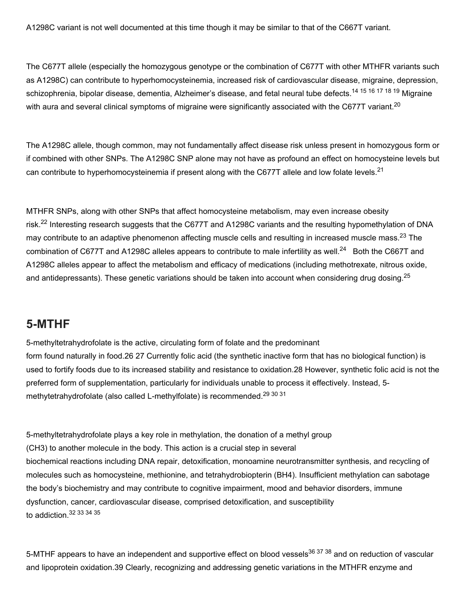A1298C variant is not well documented at this time though it may be similar to that of the C667T variant.

The C677T allele (especially the homozygous genotype or the combination of C677T with other MTHFR variants such as A1298C) can contribute to hyperhomocysteinemia, increased risk of cardiovascular disease, migraine, depression, schizophrenia, bipolar disease, dementia, Alzheimer's disease, and fetal neural tube defects.<sup>14 15 16 17 18 19</sup> Migraine with aura and several clinical symptoms of migraine were significantly associated with the C677T variant.<sup>20</sup>

The A1298C allele, though common, may not fundamentally affect disease risk unless present in homozygous form or if combined with other SNPs. The A1298C SNP alone may not have as profound an effect on homocysteine levels but can contribute to hyperhomocysteinemia if present along with the C677T allele and low folate levels.<sup>21</sup>

MTHFR SNPs, along with other SNPs that affect homocysteine metabolism, may even increase obesity risk.<sup>22</sup> Interesting research suggests that the C677T and A1298C variants and the resulting hypomethylation of DNA may contribute to an adaptive phenomenon affecting muscle cells and resulting in increased muscle mass.<sup>23</sup> The combination of C677T and A1298C alleles appears to contribute to male infertility as well.<sup>24</sup> Both the C667T and A1298C alleles appear to affect the metabolism and efficacy of medications (including methotrexate, nitrous oxide, and antidepressants). These genetic variations should be taken into account when considering drug dosing.<sup>25</sup>

#### **5-MTHF**

5-methyltetrahydrofolate is the active, circulating form of folate and the predominant form found naturally in food.26 27 Currently folic acid (the synthetic inactive form that has no biological function) is used to fortify foods due to its increased stability and resistance to oxidation.28 However, synthetic folic acid is not the preferred form of supplementation, particularly for individuals unable to process it effectively. Instead, 5 methytetrahydrofolate (also called L-methylfolate) is recommended.<sup>29 30 31</sup>

5-methyltetrahydrofolate plays a key role in methylation, the donation of a methyl group (CH3) to another molecule in the body. This action is a crucial step in several biochemical reactions including DNA repair, detoxification, monoamine neurotransmitter synthesis, and recycling of molecules such as homocysteine, methionine, and tetrahydrobiopterin (BH4). Insufficient methylation can sabotage the body's biochemistry and may contribute to cognitive impairment, mood and behavior disorders, immune dysfunction, cancer, cardiovascular disease, comprised detoxification, and susceptibility to addiction.<sup>32</sup> 33 34 35

5-MTHF appears to have an independent and supportive effect on blood vessels<sup>36 37</sup> <sup>38</sup> and on reduction of vascular and lipoprotein oxidation.39 Clearly, recognizing and addressing genetic variations in the MTHFR enzyme and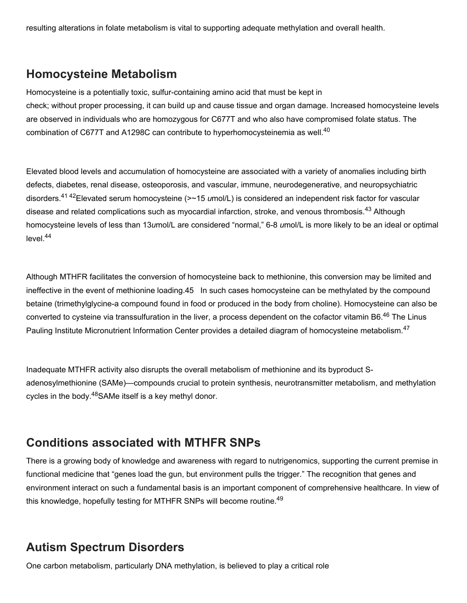resulting alterations in folate metabolism is vital to supporting adequate methylation and overall health.

#### **Homocysteine Metabolism**

Homocysteine is a potentially toxic, sulfur-containing amino acid that must be kept in check; without proper processing, it can build up and cause tissue and organ damage. Increased homocysteine levels are observed in individuals who are homozygous for C677T and who also have compromised folate status. The combination of C677T and A1298C can contribute to hyperhomocysteinemia as well.<sup>40</sup>

Elevated blood levels and accumulation of homocysteine are associated with a variety of anomalies including birth defects, diabetes, renal disease, osteoporosis, and vascular, immune, neurodegenerative, and neuropsychiatric disorders.<sup>41 42</sup>Elevated serum homocysteine (>~15 *u*mol/L) is considered an independent risk factor for vascular disease and related complications such as myocardial infarction, stroke, and venous thrombosis.<sup>43</sup> Although homocysteine levels of less than 13*umol/L* are considered "normal," 6-8 *umol/L* is more likely to be an ideal or optimal level. 44

Although MTHFR facilitates the conversion of homocysteine back to methionine, this conversion may be limited and ineffective in the event of methionine loading.45 In such cases homocysteine can be methylated by the compound betaine (trimethylglycine-a compound found in food or produced in the body from choline). Homocysteine can also be converted to cysteine via transsulfuration in the liver, a process dependent on the cofactor vitamin B6.<sup>46</sup> The Linus Pauling Institute Micronutrient Information Center provides a detailed diagram of homocysteine metabolism.<sup>47</sup>

Inadequate MTHFR activity also disrupts the overall metabolism of methionine and its byproduct Sadenosylmethionine (SAMe)—compounds crucial to protein synthesis, neurotransmitter metabolism, and methylation cycles in the body.<sup>48</sup>SAMe itself is a key methyl donor.

#### **Conditions associated with MTHFR SNPs**

There is a growing body of knowledge and awareness with regard to nutrigenomics, supporting the current premise in functional medicine that "genes load the gun, but environment pulls the trigger." The recognition that genes and environment interact on such a fundamental basis is an important component of comprehensive healthcare. In view of this knowledge, hopefully testing for MTHFR SNPs will become routine.<sup>49</sup>

#### **Autism Spectrum Disorders**

One carbon metabolism, particularly DNA methylation, is believed to play a critical role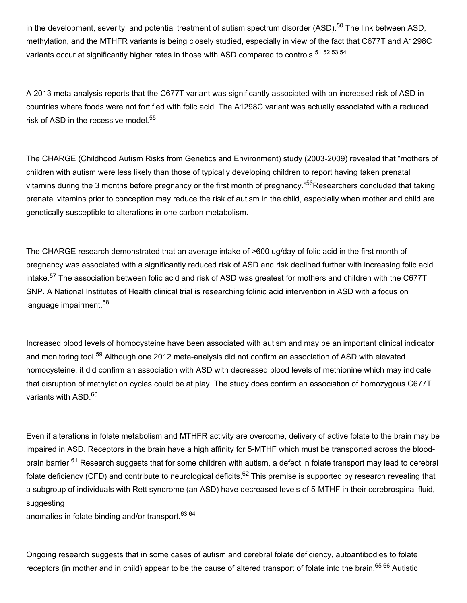in the development, severity, and potential treatment of autism spectrum disorder (ASD).<sup>50</sup> The link between ASD, methylation, and the MTHFR variants is being closely studied, especially in view of the fact that C677T and A1298C variants occur at significantly higher rates in those with ASD compared to controls.<sup>51 52 53 54</sup>

A 2013 meta-analysis reports that the C677T variant was significantly associated with an increased risk of ASD in countries where foods were not fortified with folic acid. The A1298C variant was actually associated with a reduced risk of ASD in the recessive model. 55

The CHARGE (Childhood Autism Risks from Genetics and Environment) study (2003-2009) revealed that "mothers of children with autism were less likely than those of typically developing children to report having taken prenatal vitamins during the 3 months before pregnancy or the first month of pregnancy."<sup>56</sup>Researchers concluded that taking prenatal vitamins prior to conception may reduce the risk of autism in the child, especially when mother and child are genetically susceptible to alterations in one carbon metabolism.

The CHARGE research demonstrated that an average intake of  $\geq 600$  ug/day of folic acid in the first month of pregnancy was associated with a significantly reduced risk of ASD and risk declined further with increasing folic acid intake.<sup>57</sup> The association between folic acid and risk of ASD was greatest for mothers and children with the C677T SNP. A National Institutes of Health clinical trial is researching folinic acid intervention in ASD with a focus on language impairment.<sup>58</sup>

Increased blood levels of homocysteine have been associated with autism and may be an important clinical indicator and monitoring tool.<sup>59</sup> Although one 2012 meta-analysis did not confirm an association of ASD with elevated homocysteine, it did confirm an association with ASD with decreased blood levels of methionine which may indicate that disruption of methylation cycles could be at play. The study does confirm an association of homozygous C677T variants with ASD.<sup>60</sup>

Even if alterations in folate metabolism and MTHFR activity are overcome, delivery of active folate to the brain may be impaired in ASD. Receptors in the brain have a high affinity for 5-MTHF which must be transported across the bloodbrain barrier.<sup>61</sup> Research suggests that for some children with autism, a defect in folate transport may lead to cerebral folate deficiency (CFD) and contribute to neurological deficits.<sup>62</sup> This premise is supported by research revealing that a subgroup of individuals with Rett syndrome (an ASD) have decreased levels of 5-MTHF in their cerebrospinal fluid, suggesting

anomalies in folate binding and/or transport. 63 64

Ongoing research suggests that in some cases of autism and cerebral folate deficiency, autoantibodies to folate receptors (in mother and in child) appear to be the cause of altered transport of folate into the brain.<sup>65 66</sup> Autistic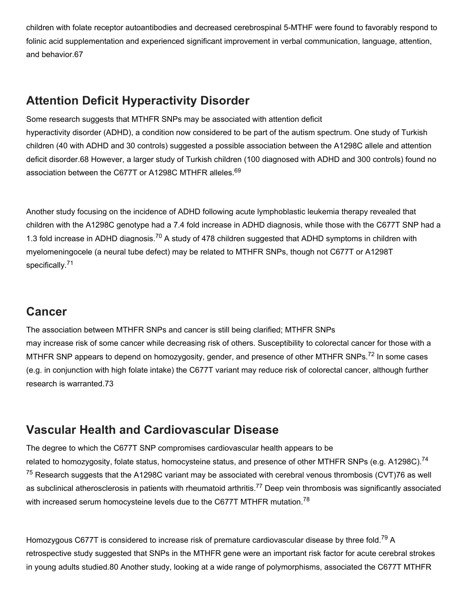children with folate receptor autoantibodies and decreased cerebrospinal 5-MTHF were found to favorably respond to folinic acid supplementation and experienced significant improvement in verbal communication, language, attention, and behavior.67

#### **Attention Deficit Hyperactivity Disorder**

Some research suggests that MTHFR SNPs may be associated with attention deficit hyperactivity disorder (ADHD), a condition now considered to be part of the autism spectrum. One study of Turkish children (40 with ADHD and 30 controls) suggested a possible association between the A1298C allele and attention deficit disorder.68 However, a larger study of Turkish children (100 diagnosed with ADHD and 300 controls) found no association between the C677T or A1298C MTHFR alleles.<sup>69</sup>

Another study focusing on the incidence of ADHD following acute lymphoblastic leukemia therapy revealed that children with the A1298C genotype had a 7.4 fold increase in ADHD diagnosis, while those with the C677T SNP had a 1.3 fold increase in ADHD diagnosis.<sup>70</sup> A study of 478 children suggested that ADHD symptoms in children with myelomeningocele (a neural tube defect) may be related to MTHFR SNPs, though not C677T or A1298T specifically.<sup>71</sup>

#### **Cancer**

The association between MTHFR SNPs and cancer is still being clarified; MTHFR SNPs may increase risk of some cancer while decreasing risk of others. Susceptibility to colorectal cancer for those with a MTHFR SNP appears to depend on homozygosity, gender, and presence of other MTHFR SNPs.<sup>72</sup> In some cases (e.g. in conjunction with high folate intake) the C677T variant may reduce risk of colorectal cancer, although further research is warranted.73

#### **Vascular Health and Cardiovascular Disease**

The degree to which the C677T SNP compromises cardiovascular health appears to be related to homozygosity, folate status, homocysteine status, and presence of other MTHFR SNPs (e.g. A1298C).<sup>74</sup>  $75$  Research suggests that the A1298C variant may be associated with cerebral venous thrombosis (CVT)76 as well as subclinical atherosclerosis in patients with rheumatoid arthritis.<sup>77</sup> Deep vein thrombosis was significantly associated with increased serum homocysteine levels due to the C677T MTHFR mutation.<sup>78</sup>

Homozygous C677T is considered to increase risk of premature cardiovascular disease by three fold.<sup>79</sup> A retrospective study suggested that SNPs in the MTHFR gene were an important risk factor for acute cerebral strokes in young adults studied.80 Another study, looking at a wide range of polymorphisms, associated the C677T MTHFR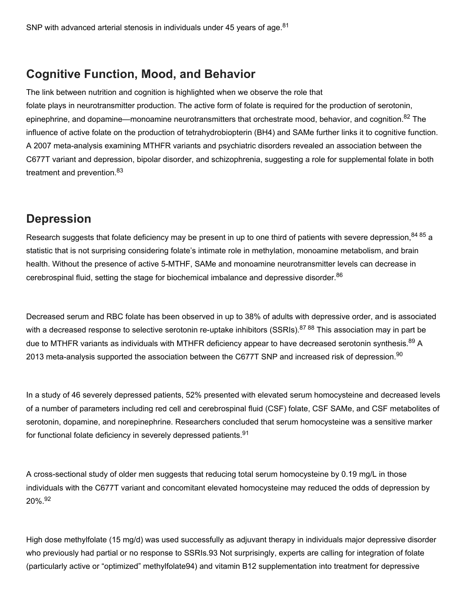#### **Cognitive Function, Mood, and Behavior**

The link between nutrition and cognition is highlighted when we observe the role that folate plays in neurotransmitter production. The active form of folate is required for the production of serotonin, epinephrine, and dopamine—monoamine neurotransmitters that orchestrate mood, behavior, and cognition.<sup>82</sup> The influence of active folate on the production of tetrahydrobiopterin (BH4) and SAMe further links it to cognitive function. A 2007 meta-analysis examining MTHFR variants and psychiatric disorders revealed an association between the C677T variant and depression, bipolar disorder, and schizophrenia, suggesting a role for supplemental folate in both treatment and prevention.<sup>83</sup>

#### **Depression**

Research suggests that folate deficiency may be present in up to one third of patients with severe depression,<sup>84 85</sup> a statistic that is not surprising considering folate's intimate role in methylation, monoamine metabolism, and brain health. Without the presence of active 5-MTHF, SAMe and monoamine neurotransmitter levels can decrease in cerebrospinal fluid, setting the stage for biochemical imbalance and depressive disorder.<sup>86</sup>

Decreased serum and RBC folate has been observed in up to 38% of adults with depressive order, and is associated with a decreased response to selective serotonin re-uptake inhibitors (SSRIs).<sup>87 88</sup> This association may in part be due to MTHFR variants as individuals with MTHFR deficiency appear to have decreased serotonin synthesis.<sup>89</sup> A 2013 meta-analysis supported the association between the C677T SNP and increased risk of depression.<sup>90</sup>

In a study of 46 severely depressed patients, 52% presented with elevated serum homocysteine and decreased levels of a number of parameters including red cell and cerebrospinal fluid (CSF) folate, CSF SAMe, and CSF metabolites of serotonin, dopamine, and norepinephrine. Researchers concluded that serum homocysteine was a sensitive marker for functional folate deficiency in severely depressed patients.<sup>91</sup>

A cross-sectional study of older men suggests that reducing total serum homocysteine by 0.19 mg/L in those individuals with the C677T variant and concomitant elevated homocysteine may reduced the odds of depression by 20%. 92

High dose methylfolate (15 mg/d) was used successfully as adjuvant therapy in individuals major depressive disorder who previously had partial or no response to SSRIs.93 Not surprisingly, experts are calling for integration of folate (particularly active or "optimized" methylfolate94) and vitamin B12 supplementation into treatment for depressive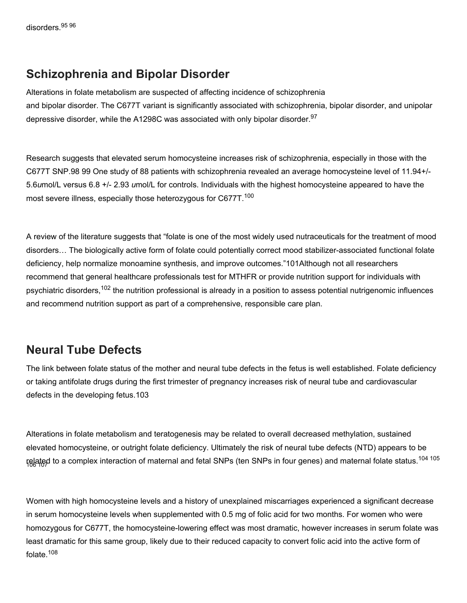#### **Schizophrenia and Bipolar Disorder**

Alterations in folate metabolism are suspected of affecting incidence of schizophrenia and bipolar disorder. The C677T variant is significantly associated with schizophrenia, bipolar disorder, and unipolar depressive disorder, while the A1298C was associated with only bipolar disorder.<sup>97</sup>

Research suggests that elevated serum homocysteine increases risk of schizophrenia, especially in those with the C677T SNP.98 99 One study of 88 patients with schizophrenia revealed an average homocysteine level of 11.94+/ 5.6*u*mol/L versus 6.8 +/ 2.93 *u*mol/L for controls. Individuals with the highest homocysteine appeared to have the most severe illness, especially those heterozygous for C677T.<sup>100</sup>

A review of the literature suggests that "folate is one of the most widely used nutraceuticals for the treatment of mood disorders... The biologically active form of folate could potentially correct mood stabilizer-associated functional folate deficiency, help normalize monoamine synthesis, and improve outcomes."101Although not all researchers recommend that general healthcare professionals test for MTHFR or provide nutrition support for individuals with psychiatric disorders,<sup>102</sup> the nutrition professional is already in a position to assess potential nutrigenomic influences and recommend nutrition support as part of a comprehensive, responsible care plan.

#### **Neural Tube Defects**

The link between folate status of the mother and neural tube defects in the fetus is well established. Folate deficiency or taking antifolate drugs during the first trimester of pregnancy increases risk of neural tube and cardiovascular defects in the developing fetus.103

Alterations in folate metabolism and teratogenesis may be related to overall decreased methylation, sustained elevated homocysteine, or outright folate deficiency. Ultimately the risk of neural tube defects (NTD) appears to be related to a complex interaction of maternal and fetal SNPs (ten SNPs in four genes) and maternal folate status.<sup>104 105</sup> 106 107

Women with high homocysteine levels and a history of unexplained miscarriages experienced a significant decrease in serum homocysteine levels when supplemented with 0.5 mg of folic acid for two months. For women who were homozygous for C677T, the homocysteine-lowering effect was most dramatic, however increases in serum folate was least dramatic for this same group, likely due to their reduced capacity to convert folic acid into the active form of folate.<sup>108</sup>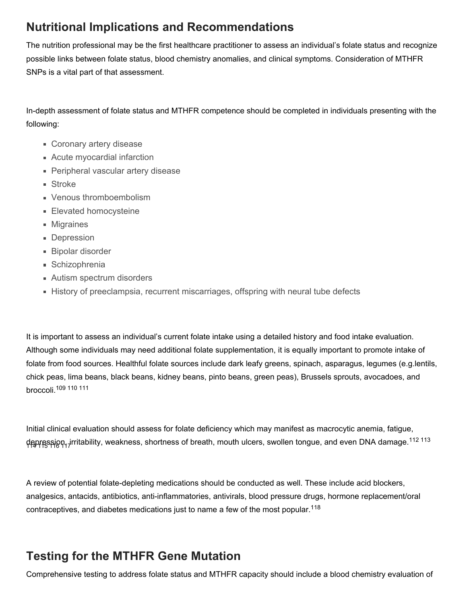#### **Nutritional Implications and Recommendations**

The nutrition professional may be the first healthcare practitioner to assess an individual's folate status and recognize possible links between folate status, blood chemistry anomalies, and clinical symptoms. Consideration of MTHFR SNPs is a vital part of that assessment.

In-depth assessment of folate status and MTHFR competence should be completed in individuals presenting with the following:

- **Coronary artery disease**
- Acute myocardial infarction
- **Peripheral vascular artery disease**
- **Stroke**
- Venous thromboembolism
- **Elevated homocysteine**
- **Migraines**
- **Depression**
- Bipolar disorder
- Schizophrenia
- **Autism spectrum disorders**
- **History of preeclampsia, recurrent miscarriages, offspring with neural tube defects**

It is important to assess an individual's current folate intake using a detailed history and food intake evaluation. Although some individuals may need additional folate supplementation, it is equally important to promote intake of folate from food sources. Healthful folate sources include dark leafy greens, spinach, asparagus, legumes (e.g.lentils, chick peas, lima beans, black beans, kidney beans, pinto beans, green peas), Brussels sprouts, avocadoes, and broccoli. 109 110 111

Initial clinical evaluation should assess for folate deficiency which may manifest as macrocytic anemia, fatigue, depression, irritability, weakness, shortness of breath, mouth ulcers, swollen tongue, and even DNA damage.<sup>112 113</sup> 114 115 116 117

A review of potential folate-depleting medications should be conducted as well. These include acid blockers, analgesics, antacids, antibiotics, anti-inflammatories, antivirals, blood pressure drugs, hormone replacement/oral contraceptives, and diabetes medications just to name a few of the most popular.<sup>118</sup>

### **Testing for the MTHFR Gene Mutation**

Comprehensive testing to address folate status and MTHFR capacity should include a blood chemistry evaluation of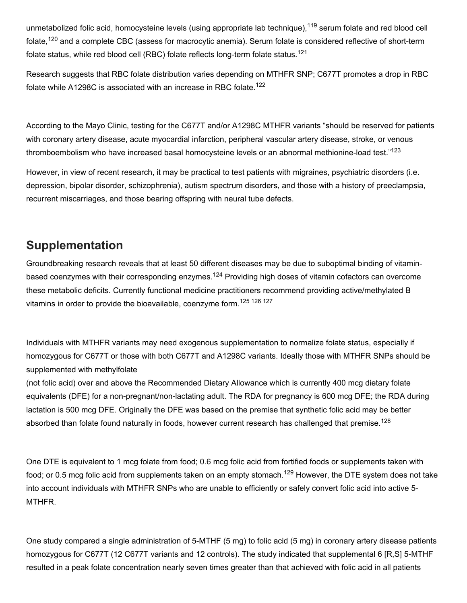unmetabolized folic acid, homocysteine levels (using appropriate lab technique),<sup>119</sup> serum folate and red blood cell folate,<sup>120</sup> and a complete CBC (assess for macrocytic anemia). Serum folate is considered reflective of short-term folate status, while red blood cell (RBC) folate reflects long-term folate status.<sup>121</sup>

Research suggests that RBC folate distribution varies depending on MTHFR SNP; C677T promotes a drop in RBC folate while A1298C is associated with an increase in RBC folate.<sup>122</sup>

According to the Mayo Clinic, testing for the C677T and/or A1298C MTHFR variants "should be reserved for patients with coronary artery disease, acute myocardial infarction, peripheral vascular artery disease, stroke, or venous thromboembolism who have increased basal homocysteine levels or an abnormal methionine-load test."<sup>123</sup>

However, in view of recent research, it may be practical to test patients with migraines, psychiatric disorders (i.e. depression, bipolar disorder, schizophrenia), autism spectrum disorders, and those with a history of preeclampsia, recurrent miscarriages, and those bearing offspring with neural tube defects.

#### **Supplementation**

Groundbreaking research reveals that at least 50 different diseases may be due to suboptimal binding of vitaminbased coenzymes with their corresponding enzymes.<sup>124</sup> Providing high doses of vitamin cofactors can overcome these metabolic deficits. Currently functional medicine practitioners recommend providing active/methylated B vitamins in order to provide the bioavailable, coenzyme form.<sup>125 126 127</sup>

Individuals with MTHFR variants may need exogenous supplementation to normalize folate status, especially if homozygous for C677T or those with both C677T and A1298C variants. Ideally those with MTHFR SNPs should be supplemented with methylfolate

(not folic acid) over and above the Recommended Dietary Allowance which is currently 400 mcg dietary folate equivalents (DFE) for a non-pregnant/non-lactating adult. The RDA for pregnancy is 600 mcg DFE; the RDA during lactation is 500 mcg DFE. Originally the DFE was based on the premise that synthetic folic acid may be better absorbed than folate found naturally in foods, however current research has challenged that premise.<sup>128</sup>

One DTE is equivalent to 1 mcg folate from food; 0.6 mcg folic acid from fortified foods or supplements taken with food; or 0.5 mcg folic acid from supplements taken on an empty stomach.<sup>129</sup> However, the DTE system does not take into account individuals with MTHFR SNPs who are unable to efficiently or safely convert folic acid into active 5 MTHFR.

One study compared a single administration of 5MTHF (5 mg) to folic acid (5 mg) in coronary artery disease patients homozygous for C677T (12 C677T variants and 12 controls). The study indicated that supplemental 6 [R,S] 5-MTHF resulted in a peak folate concentration nearly seven times greater than that achieved with folic acid in all patients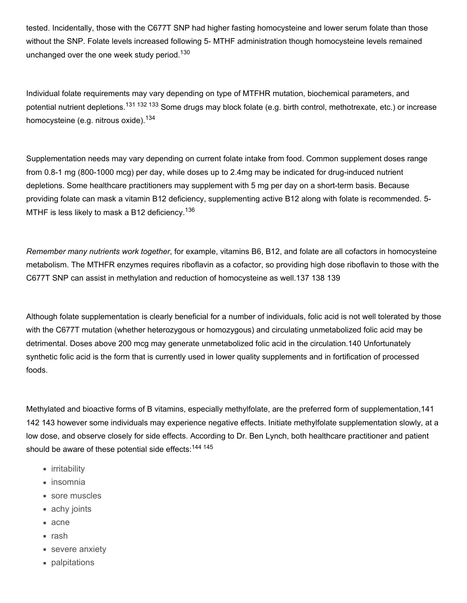tested. Incidentally, those with the C677T SNP had higher fasting homocysteine and lower serum folate than those without the SNP. Folate levels increased following 5- MTHF administration though homocysteine levels remained unchanged over the one week study period.<sup>130</sup>

Individual folate requirements may vary depending on type of MTFHR mutation, biochemical parameters, and potential nutrient depletions.<sup>131 132 133</sup> Some drugs may block folate (e.g. birth control, methotrexate, etc.) or increase homocysteine (e.g. nitrous oxide).<sup>134</sup>

Supplementation needs may vary depending on current folate intake from food. Common supplement doses range from 0.8-1 mg (800-1000 mcg) per day, while doses up to 2.4mg may be indicated for drug-induced nutrient depletions. Some healthcare practitioners may supplement with 5 mg per day on a short-term basis. Because providing folate can mask a vitamin B12 deficiency, supplementing active B12 along with folate is recommended. 5 MTHF is less likely to mask a B12 deficiency.<sup>136</sup>

*Remember many nutrients work together*, for example, vitamins B6, B12, and folate are all cofactors in homocysteine metabolism. The MTHFR enzymes requires riboflavin as a cofactor, so providing high dose riboflavin to those with the C677T SNP can assist in methylation and reduction of homocysteine as well.137 138 139

Although folate supplementation is clearly beneficial for a number of individuals, folic acid is not well tolerated by those with the C677T mutation (whether heterozygous or homozygous) and circulating unmetabolized folic acid may be detrimental. Doses above 200 mcg may generate unmetabolized folic acid in the circulation.140 Unfortunately synthetic folic acid is the form that is currently used in lower quality supplements and in fortification of processed foods.

Methylated and bioactive forms of B vitamins, especially methylfolate, are the preferred form of supplementation,141 142 143 however some individuals may experience negative effects. Initiate methylfolate supplementation slowly, at a low dose, and observe closely for side effects. According to Dr. Ben Lynch, both healthcare practitioner and patient should be aware of these potential side effects:<sup>144 145</sup>

- **u** irritability
- insomnia
- sore muscles
- achy joints
- acne
- rash
- severe anxiety
- **palpitations**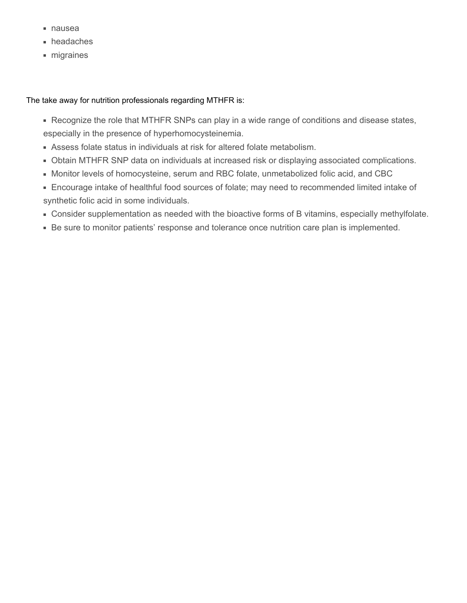- nausea
- headaches
- migraines

#### The take away for nutrition professionals regarding MTHFR is:

- Recognize the role that MTHFR SNPs can play in a wide range of conditions and disease states, especially in the presence of hyperhomocysteinemia.
- Assess folate status in individuals at risk for altered folate metabolism.
- Obtain MTHFR SNP data on individuals at increased risk or displaying associated complications.
- Monitor levels of homocysteine, serum and RBC folate, unmetabolized folic acid, and CBC
- Encourage intake of healthful food sources of folate; may need to recommended limited intake of synthetic folic acid in some individuals.
- Consider supplementation as needed with the bioactive forms of B vitamins, especially methylfolate.
- Be sure to monitor patients' response and tolerance once nutrition care plan is implemented.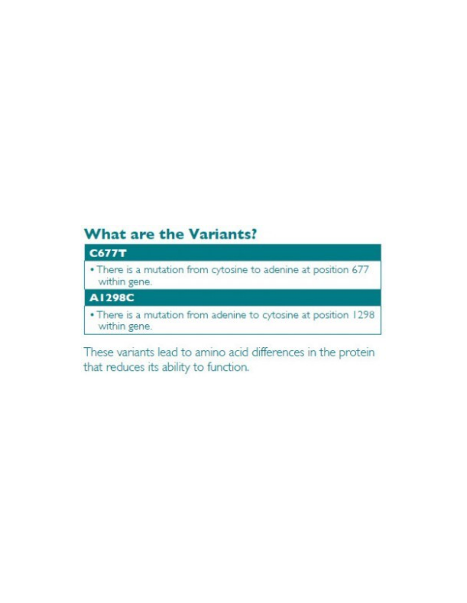## **What are the Variants?**

#### **C677T**

. There is a mutation from cytosine to adenine at position 677 within gene.

#### A1298C

. There is a mutation from adenine to cytosine at position 1298 within gene.

These variants lead to amino acid differences in the protein that reduces its ability to function.